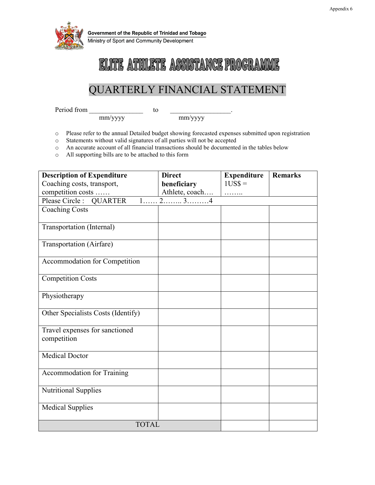

Government of the Republic of Trinidad and Tobago

Ministry of Sport and Community Development

## ELITE ATHLETE ASSISTANCE PROGRAMME

## QUARTERLY FINANCIAL STATEMENT

Period from to

mm/yyyy mm/yyyy

- o Please refer to the annual Detailed budget showing forecasted expenses submitted upon registration <br>
Statements without valid signatures of all parties will not be accepted
- Statements without valid signatures of all parties will not be accepted
- o An accurate account of all financial transactions should be documented in the tables below
- o All supporting bills are to be attached to this form

| <b>Description of Expenditure</b>                               | <b>Direct</b>  | <b>Expenditure</b> | <b>Remarks</b> |
|-----------------------------------------------------------------|----------------|--------------------|----------------|
| Coaching costs, transport,                                      | beneficiary    | $1US$ =$           |                |
| competition costs                                               | Athlete, coach | .                  |                |
| $1, \ldots, 2, \ldots, 3, \ldots, 4$<br>Please Circle : QUARTER |                |                    |                |
| <b>Coaching Costs</b>                                           |                |                    |                |
| Transportation (Internal)                                       |                |                    |                |
| Transportation (Airfare)                                        |                |                    |                |
| Accommodation for Competition                                   |                |                    |                |
| <b>Competition Costs</b>                                        |                |                    |                |
| Physiotherapy                                                   |                |                    |                |
| Other Specialists Costs (Identify)                              |                |                    |                |
| Travel expenses for sanctioned                                  |                |                    |                |
| competition                                                     |                |                    |                |
| <b>Medical Doctor</b>                                           |                |                    |                |
| Accommodation for Training                                      |                |                    |                |
| <b>Nutritional Supplies</b>                                     |                |                    |                |
| <b>Medical Supplies</b>                                         |                |                    |                |
| <b>TOTAL</b>                                                    |                |                    |                |